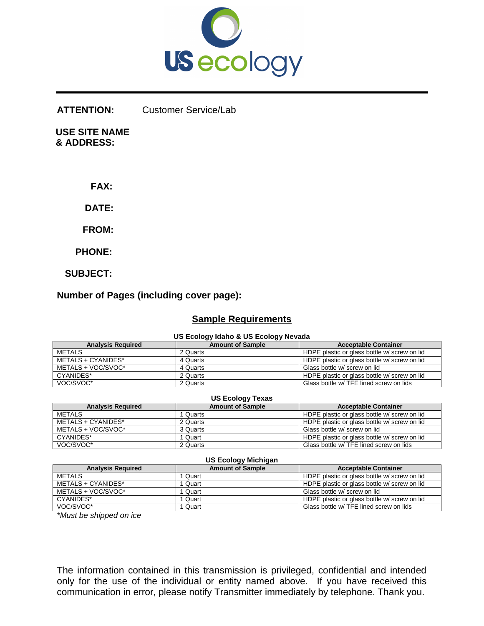

#### **ATTENTION:**  Customer Service/Lab

 **USE SITE NAME & ADDRESS:**

 **FAX:** 

 **DATE:**

 **FROM:** 

 **PHONE:** 

 **SUBJECT:** 

## **Number of Pages (including cover page):**

# **Sample Requirements**

### **US Ecology Idaho & US Ecology Nevada**

| <b>Analysis Required</b> | <b>Amount of Sample</b> | <b>Acceptable Container</b>                  |  |  |  |  |  |
|--------------------------|-------------------------|----------------------------------------------|--|--|--|--|--|
| <b>METALS</b>            | 2 Quarts                | HDPE plastic or glass bottle w/ screw on lid |  |  |  |  |  |
| METALS + CYANIDES*       | 4 Quarts                | HDPE plastic or glass bottle w/ screw on lid |  |  |  |  |  |
| METALS + VOC/SVOC*       | 4 Quarts                | Glass bottle w/ screw on lid                 |  |  |  |  |  |
| CYANIDES*                | 2 Quarts                | HDPE plastic or glass bottle w/ screw on lid |  |  |  |  |  |
| VOC/SVOC*                | 2 Quarts                | Glass bottle w/ TFE lined screw on lids      |  |  |  |  |  |

| US Ecology Texas         |                         |                                              |  |  |  |  |  |
|--------------------------|-------------------------|----------------------------------------------|--|--|--|--|--|
| <b>Analysis Required</b> | <b>Amount of Sample</b> | <b>Acceptable Container</b>                  |  |  |  |  |  |
| METALS                   | Quarts                  | HDPE plastic or glass bottle w/ screw on lid |  |  |  |  |  |
| METALS + CYANIDES*       | 2 Quarts                | HDPE plastic or glass bottle w/ screw on lid |  |  |  |  |  |
| METALS + VOC/SVOC*       | 3 Quarts                | Glass bottle w/ screw on lid                 |  |  |  |  |  |
| CYANIDES*                | Quart                   | HDPE plastic or glass bottle w/ screw on lid |  |  |  |  |  |
| VOC/SVOC*                | 2 Quarts                | Glass bottle w/ TFE lined screw on lids      |  |  |  |  |  |

#### **US Ecology Michigan Analysis Required Amount of Sample Acceptable Container** METALS<br>
1 Quart 1 Quart HDPE plastic or glass bottle w/ screw on lid<br>
HDPE plastic or glass bottle w/ screw on lid METALS + CYANIDES\* 1 Quart 1 Quart 1 Quart HDPE plastic or glass bottle w/ screw on lid<br>METALS + VOC/SVOC\* 1 Quart Glass bottle w/ screw on lid 1 Quart Glass bottle w/ screw on lid CYANIDES\* 1 Quart HDPE plastic or glass bottle w/ screw on lid

VOC/SVOC\* 1 | 1 Quart | 1 Quart | Glass bottle w/ TFE lined screw on lids

*\*Must be shipped on ice* 

The information contained in this transmission is privileged, confidential and intended only for the use of the individual or entity named above. If you have received this communication in error, please notify Transmitter immediately by telephone. Thank you.